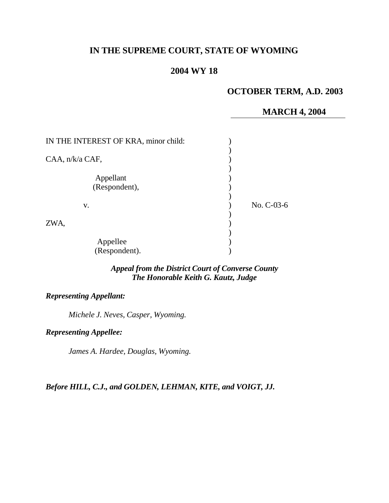# **IN THE SUPREME COURT, STATE OF WYOMING**

## **2004 WY 18**

### **OCTOBER TERM, A.D. 2003**

### **MARCH 4, 2004**

| IN THE INTEREST OF KRA, minor child: |              |
|--------------------------------------|--------------|
| CAA, n/k/a CAF,                      |              |
| Appellant<br>(Respondent),           |              |
| V.                                   | No. $C-03-6$ |
| ZWA,                                 |              |
| Appellee<br>(Respondent).            |              |

### *Appeal from the District Court of Converse County The Honorable Keith G. Kautz, Judge*

### *Representing Appellant:*

*Michele J. Neves, Casper, Wyoming.*

*Representing Appellee:*

*James A. Hardee, Douglas, Wyoming.*

*Before HILL, C.J., and GOLDEN, LEHMAN, KITE, and VOIGT, JJ.*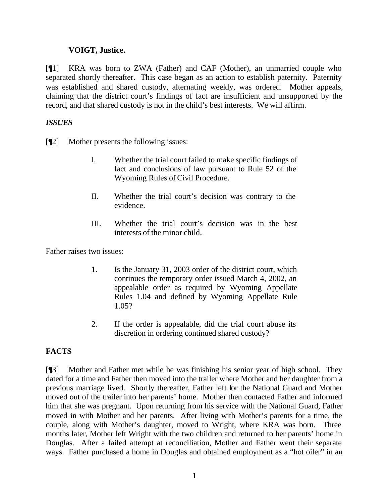### **VOIGT, Justice.**

[¶1] KRA was born to ZWA (Father) and CAF (Mother), an unmarried couple who separated shortly thereafter. This case began as an action to establish paternity. Paternity was established and shared custody, alternating weekly, was ordered. Mother appeals, claiming that the district court's findings of fact are insufficient and unsupported by the record, and that shared custody is not in the child's best interests. We will affirm.

## *ISSUES*

[¶2] Mother presents the following issues:

- I. Whether the trial court failed to make specific findings of fact and conclusions of law pursuant to Rule 52 of the Wyoming Rules of Civil Procedure.
- II. Whether the trial court's decision was contrary to the evidence.
- III. Whether the trial court's decision was in the best interests of the minor child.

Father raises two issues:

- 1. Is the January 31, 2003 order of the district court, which continues the temporary order issued March 4, 2002, an appealable order as required by Wyoming Appellate Rules 1.04 and defined by Wyoming Appellate Rule 1.05?
- 2. If the order is appealable, did the trial court abuse its discretion in ordering continued shared custody?

# **FACTS**

[¶3] Mother and Father met while he was finishing his senior year of high school. They dated for a time and Father then moved into the trailer where Mother and her daughter from a previous marriage lived. Shortly thereafter, Father left for the National Guard and Mother moved out of the trailer into her parents' home. Mother then contacted Father and informed him that she was pregnant. Upon returning from his service with the National Guard, Father moved in with Mother and her parents. After living with Mother's parents for a time, the couple, along with Mother's daughter, moved to Wright, where KRA was born. Three months later, Mother left Wright with the two children and returned to her parents' home in Douglas. After a failed attempt at reconciliation, Mother and Father went their separate ways. Father purchased a home in Douglas and obtained employment as a "hot oiler" in an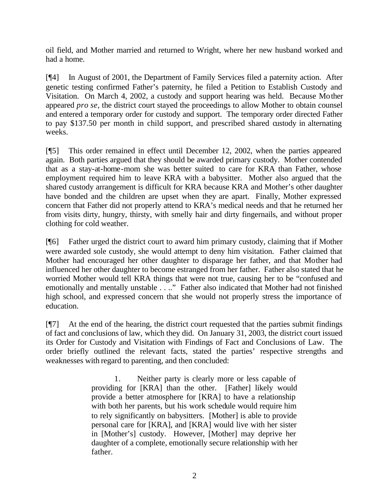oil field, and Mother married and returned to Wright, where her new husband worked and had a home.

[¶4] In August of 2001, the Department of Family Services filed a paternity action. After genetic testing confirmed Father's paternity, he filed a Petition to Establish Custody and Visitation. On March 4, 2002, a custody and support hearing was held. Because Mother appeared *pro se*, the district court stayed the proceedings to allow Mother to obtain counsel and entered a temporary order for custody and support. The temporary order directed Father to pay \$137.50 per month in child support, and prescribed shared custody in alternating weeks.

[¶5] This order remained in effect until December 12, 2002, when the parties appeared again. Both parties argued that they should be awarded primary custody. Mother contended that as a stay-at-home-mom she was better suited to care for KRA than Father, whose employment required him to leave KRA with a babysitter. Mother also argued that the shared custody arrangement is difficult for KRA because KRA and Mother's other daughter have bonded and the children are upset when they are apart. Finally, Mother expressed concern that Father did not properly attend to KRA's medical needs and that he returned her from visits dirty, hungry, thirsty, with smelly hair and dirty fingernails, and without proper clothing for cold weather.

[¶6] Father urged the district court to award him primary custody, claiming that if Mother were awarded sole custody, she would attempt to deny him visitation. Father claimed that Mother had encouraged her other daughter to disparage her father, and that Mother had influenced her other daughter to become estranged from her father. Father also stated that he worried Mother would tell KRA things that were not true, causing her to be "confused and emotionally and mentally unstable . . .." Father also indicated that Mother had not finished high school, and expressed concern that she would not properly stress the importance of education.

[¶7] At the end of the hearing, the district court requested that the parties submit findings of fact and conclusions of law, which they did. On January 31, 2003, the district court issued its Order for Custody and Visitation with Findings of Fact and Conclusions of Law. The order briefly outlined the relevant facts, stated the parties' respective strengths and weaknesses with regard to parenting, and then concluded:

> 1. Neither party is clearly more or less capable of providing for [KRA] than the other. [Father] likely would provide a better atmosphere for [KRA] to have a relationship with both her parents, but his work schedule would require him to rely significantly on babysitters. [Mother] is able to provide personal care for [KRA], and [KRA] would live with her sister in [Mother's] custody. However, [Mother] may deprive her daughter of a complete, emotionally secure relationship with her father.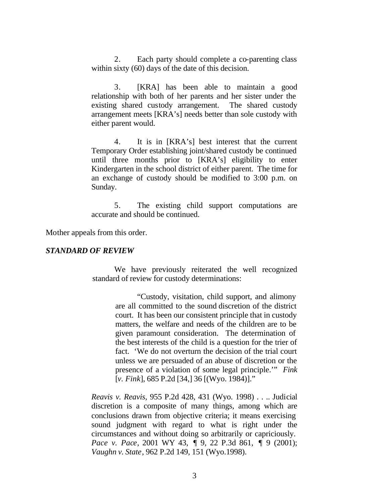2. Each party should complete a co-parenting class within sixty (60) days of the date of this decision.

3. [KRA] has been able to maintain a good relationship with both of her parents and her sister under the existing shared custody arrangement. The shared custody arrangement meets [KRA's] needs better than sole custody with either parent would.

4. It is in [KRA's] best interest that the current Temporary Order establishing joint/shared custody be continued until three months prior to [KRA's] eligibility to enter Kindergarten in the school district of either parent. The time for an exchange of custody should be modified to 3:00 p.m. on Sunday.

5. The existing child support computations are accurate and should be continued.

Mother appeals from this order.

#### *STANDARD OF REVIEW*

We have previously reiterated the well recognized standard of review for custody determinations:

> "Custody, visitation, child support, and alimony are all committed to the sound discretion of the district court. It has been our consistent principle that in custody matters, the welfare and needs of the children are to be given paramount consideration. The determination of the best interests of the child is a question for the trier of fact. 'We do not overturn the decision of the trial court unless we are persuaded of an abuse of discretion or the presence of a violation of some legal principle.'" *Fink*  [*v. Fink*], 685 P.2d [34,] 36 [(Wyo. 1984)]."

*Reavis v. Reavis*, 955 P.2d 428, 431 (Wyo. 1998) . . .. Judicial discretion is a composite of many things, among which are conclusions drawn from objective criteria; it means exercising sound judgment with regard to what is right under the circumstances and without doing so arbitrarily or capriciously. *Pace v. Pace*, 2001 WY 43, ¶ 9, 22 P.3d 861, ¶ 9 (2001); *Vaughn v. State*, 962 P.2d 149, 151 (Wyo.1998).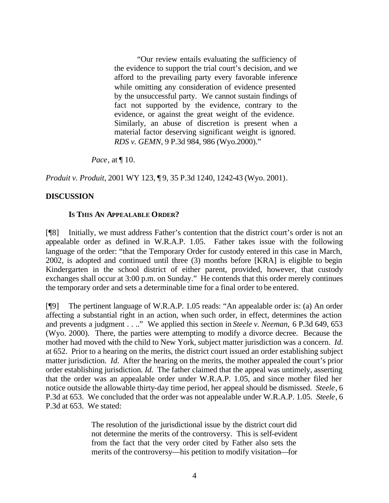"Our review entails evaluating the sufficiency of the evidence to support the trial court's decision, and we afford to the prevailing party every favorable inference while omitting any consideration of evidence presented by the unsuccessful party. We cannot sustain findings of fact not supported by the evidence, contrary to the evidence, or against the great weight of the evidence. Similarly, an abuse of discretion is present when a material factor deserving significant weight is ignored. *RDS v. GEMN*, 9 P.3d 984, 986 (Wyo.2000)."

*Pace*, at  $\P$  10.

*Produit v. Produit*, 2001 WY 123, ¶ 9, 35 P.3d 1240, 1242-43 (Wyo. 2001).

#### **DISCUSSION**

#### **IS THIS AN APPEALABLE ORDER?**

[¶8] Initially, we must address Father's contention that the district court's order is not an appealable order as defined in W.R.A.P. 1.05. Father takes issue with the following language of the order: "that the Temporary Order for custody entered in this case in March, 2002, is adopted and continued until three (3) months before [KRA] is eligible to begin Kindergarten in the school district of either parent, provided, however, that custody exchanges shall occur at 3:00 p.m. on Sunday." He contends that this order merely continues the temporary order and sets a determinable time for a final order to be entered.

[¶9] The pertinent language of W.R.A.P. 1.05 reads: "An appealable order is: (a) An order affecting a substantial right in an action, when such order, in effect, determines the action and prevents a judgment . . .." We applied this section in *Steele v. Neeman,* 6 P.3d 649, 653 (Wyo. 2000). There, the parties were attempting to modify a divorce decree. Because the mother had moved with the child to New York, subject matter jurisdiction was a concern. *Id.* at 652. Prior to a hearing on the merits, the district court issued an order establishing subject matter jurisdiction. *Id.* After the hearing on the merits, the mother appealed the court's prior order establishing jurisdiction. *Id.* The father claimed that the appeal was untimely, asserting that the order was an appealable order under W.R.A.P. 1.05, and since mother filed her notice outside the allowable thirty-day time period, her appeal should be dismissed. *Steele*, 6 P.3d at 653. We concluded that the order was not appealable under W.R.A.P. 1.05. *Steele*, 6 P.3d at 653. We stated:

> The resolution of the jurisdictional issue by the district court did not determine the merits of the controversy. This is self-evident from the fact that the very order cited by Father also sets the merits of the controversy—his petition to modify visitation—for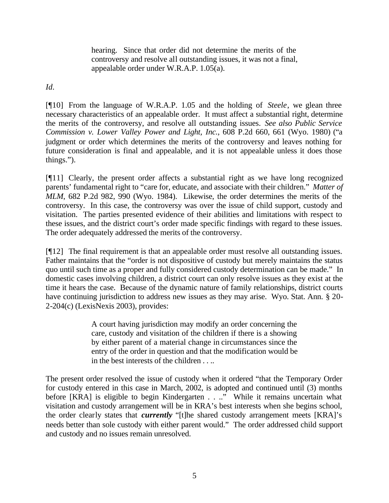hearing. Since that order did not determine the merits of the controversy and resolve all outstanding issues, it was not a final, appealable order under W.R.A.P. 1.05(a).

*Id.*

[¶10] From the language of W.R.A.P. 1.05 and the holding of *Steele*, we glean three necessary characteristics of an appealable order. It must affect a substantial right, determine the merits of the controversy, and resolve all outstanding issues. *See also Public Service Commission v. Lower Valley Power and Light, Inc.*, 608 P.2d 660, 661 (Wyo. 1980) ("a judgment or order which determines the merits of the controversy and leaves nothing for future consideration is final and appealable, and it is not appealable unless it does those things.").

[¶11] Clearly, the present order affects a substantial right as we have long recognized parents' fundamental right to "care for, educate, and associate with their children." *Matter of MLM*, 682 P.2d 982, 990 (Wyo. 1984). Likewise, the order determines the merits of the controversy. In this case, the controversy was over the issue of child support, custody and visitation. The parties presented evidence of their abilities and limitations with respect to these issues, and the district court's order made specific findings with regard to these issues. The order adequately addressed the merits of the controversy.

[¶12] The final requirement is that an appealable order must resolve all outstanding issues. Father maintains that the "order is not dispositive of custody but merely maintains the status quo until such time as a proper and fully considered custody determination can be made." In domestic cases involving children, a district court can only resolve issues as they exist at the time it hears the case. Because of the dynamic nature of family relationships, district courts have continuing jurisdiction to address new issues as they may arise. Wyo. Stat. Ann. § 20- 2-204(c) (LexisNexis 2003), provides:

> A court having jurisdiction may modify an order concerning the care, custody and visitation of the children if there is a showing by either parent of a material change in circumstances since the entry of the order in question and that the modification would be in the best interests of the children . . ..

The present order resolved the issue of custody when it ordered "that the Temporary Order for custody entered in this case in March, 2002, is adopted and continued until (3) months before [KRA] is eligible to begin Kindergarten . . .." While it remains uncertain what visitation and custody arrangement will be in KRA's best interests when she begins school, the order clearly states that *currently* "[t]he shared custody arrangement meets [KRA]'s needs better than sole custody with either parent would." The order addressed child support and custody and no issues remain unresolved.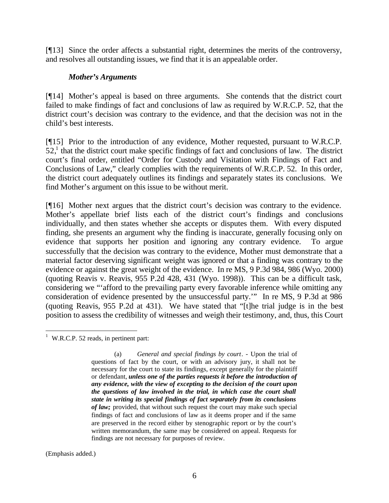[¶13] Since the order affects a substantial right, determines the merits of the controversy, and resolves all outstanding issues, we find that it is an appealable order.

#### *Mother's Arguments*

[¶14] Mother's appeal is based on three arguments. She contends that the district court failed to make findings of fact and conclusions of law as required by W.R.C.P. 52, that the district court's decision was contrary to the evidence, and that the decision was not in the child's best interests.

[¶15] Prior to the introduction of any evidence, Mother requested, pursuant to W.R.C.P.  $52<sup>1</sup>$ , that the district court make specific findings of fact and conclusions of law. The district court's final order, entitled "Order for Custody and Visitation with Findings of Fact and Conclusions of Law," clearly complies with the requirements of W.R.C.P. 52. In this order, the district court adequately outlines its findings and separately states its conclusions. We find Mother's argument on this issue to be without merit.

[¶16] Mother next argues that the district court's decision was contrary to the evidence. Mother's appellate brief lists each of the district court's findings and conclusions individually, and then states whether she accepts or disputes them. With every disputed finding, she presents an argument why the finding is inaccurate, generally focusing only on evidence that supports her position and ignoring any contrary evidence. To argue successfully that the decision was contrary to the evidence, Mother must demonstrate that a material factor deserving significant weight was ignored or that a finding was contrary to the evidence or against the great weight of the evidence. In re MS, 9 P.3d 984, 986 (Wyo. 2000) (quoting Reavis v. Reavis, 955 P.2d 428, 431 (Wyo. 1998)). This can be a difficult task, considering we "'afford to the prevailing party every favorable inference while omitting any consideration of evidence presented by the unsuccessful party.'" In re MS, 9 P.3d at 986 (quoting Reavis, 955 P.2d at 431). We have stated that "[t]he trial judge is in the best position to assess the credibility of witnesses and weigh their testimony, and, thus, this Court

l  $1$  W.R.C.P. 52 reads, in pertinent part:

(Emphasis added.)

<sup>(</sup>a) *General and special findings by court*. - Upon the trial of questions of fact by the court, or with an advisory jury, it shall not be necessary for the court to state its findings, except generally for the plaintiff or defendant, *unless one of the parties requests it before the introduction of any evidence, with the view of excepting to the decision of the court upon the questions of law involved in the trial, in which case the court shall state in writing its special findings of fact separately from its conclusions of law;* provided, that without such request the court may make such special findings of fact and conclusions of law as it deems proper and if the same are preserved in the record either by stenographic report or by the court's written memorandum, the same may be considered on appeal. Requests for findings are not necessary for purposes of review.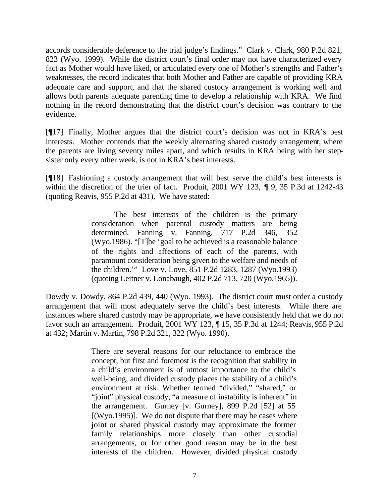accords considerable deference to the trial judge's findings." Clark v. Clark, 980 P.2d 821, 823 (Wyo. 1999). While the district court's final order may not have characterized every fact as Mother would have liked, or articulated every one of Mother's strengths and Father's weaknesses, the record indicates that both Mother and Father are capable of providing KRA adequate care and support, and that the shared custody arrangement is working well and allows both parents adequate parenting time to develop a relationship with KRA. We find nothing in the record demonstrating that the district court's decision was contrary to the evidence.

[¶17] Finally, Mother argues that the district court's decision was not in KRA's best interests. Mother contends that the weekly alternating shared custody arrangement, where the parents are living seventy miles apart, and which results in KRA being with her stepsister only every other week, is not in KRA's best interests.

[¶18] Fashioning a custody arrangement that will best serve the child's best interests is within the discretion of the trier of fact. Produit, 2001 WY 123, ¶ 9, 35 P.3d at 1242-43 (quoting Reavis, 955 P.2d at 431). We have stated:

> The best interests of the children is the primary consideration when parental custody matters are being determined. Fanning v. Fanning, 717 P.2d 346, 352 (Wyo.1986). "[T]he 'goal to be achieved is a reasonable balance of the rights and affections of each of the parents, with paramount consideration being given to the welfare and needs of the children.'" Love v. Love, 851 P.2d 1283, 1287 (Wyo.1993) (quoting Leitner v. Lonabaugh, 402 P.2d 713, 720 (Wyo.1965)).

Dowdy v. Dowdy, 864 P.2d 439, 440 (Wyo. 1993). The district court must order a custody arrangement that will most adequately serve the child's best interests. While there are instances where shared custody may be appropriate, we have consistently held that we do not favor such an arrangement. Produit, 2001 WY 123, ¶ 15, 35 P.3d at 1244; Reavis, 955 P.2d at 432; Martin v. Martin, 798 P.2d 321, 322 (Wyo. 1990).

> There are several reasons for our reluctance to embrace the concept, but first and foremost is the recognition that stability in a child's environment is of utmost importance to the child's well-being, and divided custody places the stability of a child's environment at risk. Whether termed "divided," "shared," or "joint" physical custody, "a measure of instability is inherent" in the arrangement. Gurney [v. Gurney], 899 P.2d [52] at 55  $[(Wyo.1995)]$ . We do not dispute that there may be cases where joint or shared physical custody may approximate the former family relationships more closely than other custodial arrangements, or for other good reason may be in the best interests of the children.However, divided physical custody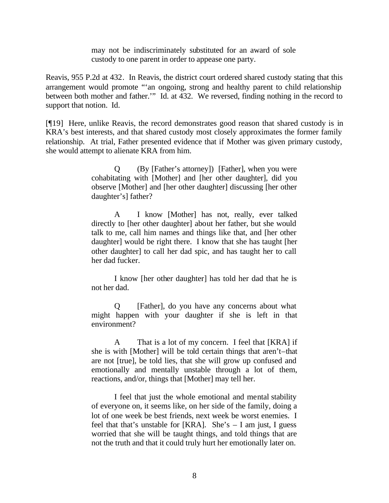may not be indiscriminately substituted for an award of sole custody to one parent in order to appease one party.

Reavis, 955 P.2d at 432. In Reavis, the district court ordered shared custody stating that this arrangement would promote "'an ongoing, strong and healthy parent to child relationship between both mother and father.'" Id. at 432. We reversed, finding nothing in the record to support that notion. Id.

[¶19] Here, unlike Reavis, the record demonstrates good reason that shared custody is in KRA's best interests, and that shared custody most closely approximates the former family relationship. At trial, Father presented evidence that if Mother was given primary custody, she would attempt to alienate KRA from him.

> Q (By [Father's attorney]) [Father], when you were cohabitating with [Mother] and [her other daughter], did you observe [Mother] and [her other daughter] discussing [her other daughter's] father?

> A I know [Mother] has not, really, ever talked directly to [her other daughter] about her father, but she would talk to me, call him names and things like that, and [her other daughter] would be right there. I know that she has taught [her other daughter] to call her dad spic, and has taught her to call her dad fucker.

> I know [her other daughter] has told her dad that he is not her dad.

> Q [Father], do you have any concerns about what might happen with your daughter if she is left in that environment?

> A That is a lot of my concern. I feel that [KRA] if she is with [Mother] will be told certain things that aren't–that are not [true], be told lies, that she will grow up confused and emotionally and mentally unstable through a lot of them, reactions, and/or, things that [Mother] may tell her.

> I feel that just the whole emotional and mental stability of everyone on, it seems like, on her side of the family, doing a lot of one week be best friends, next week be worst enemies. I feel that that's unstable for [KRA]. She's – I am just, I guess worried that she will be taught things, and told things that are not the truth and that it could truly hurt her emotionally later on.